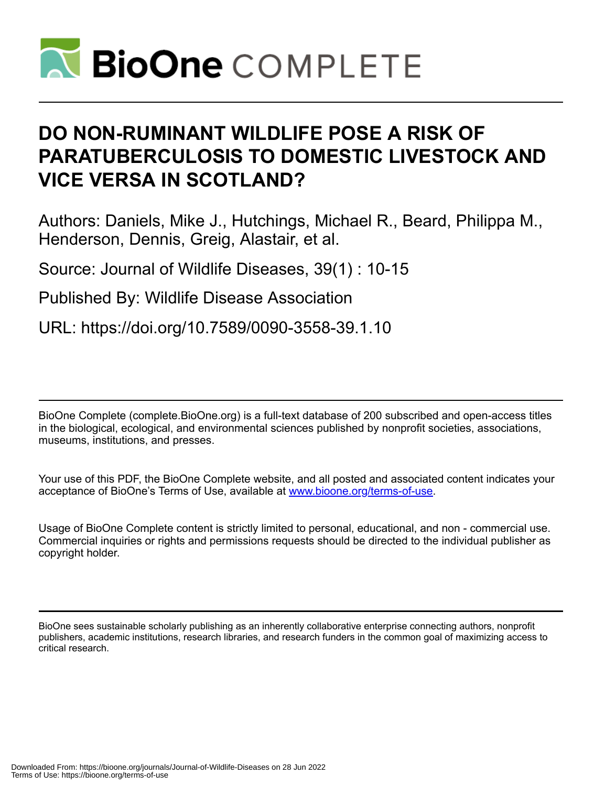

# **DO NON-RUMINANT WILDLIFE POSE A RISK OF PARATUBERCULOSIS TO DOMESTIC LIVESTOCK AND VICE VERSA IN SCOTLAND?**

Authors: Daniels, Mike J., Hutchings, Michael R., Beard, Philippa M., Henderson, Dennis, Greig, Alastair, et al.

Source: Journal of Wildlife Diseases, 39(1) : 10-15

Published By: Wildlife Disease Association

URL: https://doi.org/10.7589/0090-3558-39.1.10

BioOne Complete (complete.BioOne.org) is a full-text database of 200 subscribed and open-access titles in the biological, ecological, and environmental sciences published by nonprofit societies, associations, museums, institutions, and presses.

Your use of this PDF, the BioOne Complete website, and all posted and associated content indicates your acceptance of BioOne's Terms of Use, available at www.bioone.org/terms-of-use.

Usage of BioOne Complete content is strictly limited to personal, educational, and non - commercial use. Commercial inquiries or rights and permissions requests should be directed to the individual publisher as copyright holder.

BioOne sees sustainable scholarly publishing as an inherently collaborative enterprise connecting authors, nonprofit publishers, academic institutions, research libraries, and research funders in the common goal of maximizing access to critical research.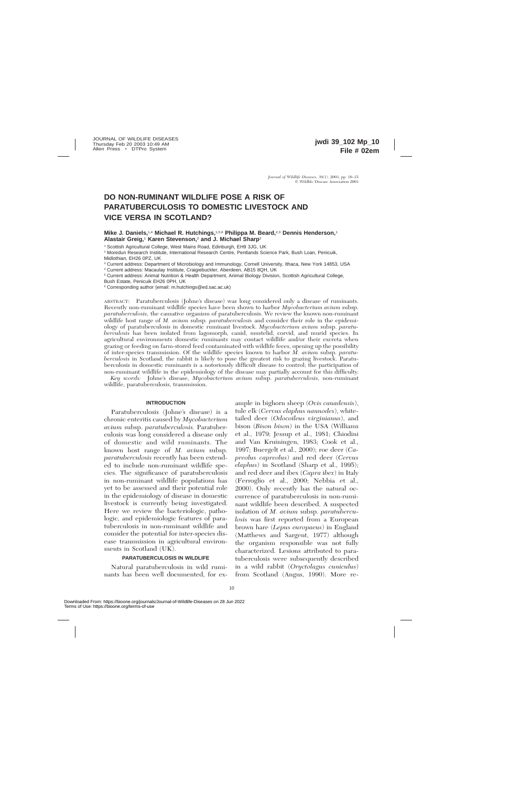# **DO NON-RUMINANT WILDLIFE POSE A RISK OF PARATUBERCULOSIS TO DOMESTIC LIVESTOCK AND VICE VERSA IN SCOTLAND?**

## **Mike J. Daniels,**1,4 **Michael R. Hutchings,**1,5,6 **Philippa M. Beard,**2,3 **Dennis Henderson,**<sup>1</sup> **Alastair Greig,**<sup>1</sup> **Karen Stevenson,**<sup>2</sup> **and J. Michael Sharp**<sup>2</sup>

<sup>1</sup> Scottish Agricultural College, West Mains Road, Edinburgh, EH9 3JG, UK

<sup>2</sup> Moredun Research Institute, International Research Centre, Pentlands Science Park, Bush Loan, Penicuik, Midlothian, EH26 0PZ, UK

<sup>3</sup> Current address: Department of Microbiology and Immunology, Cornell University, Ithaca, New York 14853, USA

<sup>4</sup> Current address: Macaulay Institute, Craigiebuckler, Aberdeen, AB15 8QH, UK

<sup>5</sup> Current address: Animal Nutrition & Health Department, Animal Biology Division, Scottish Agricultural College,

Bush Estate, Penicuik EH26 0PH, UK

<sup>6</sup> Corresponding author (email: m.hutchings@ed.sac.ac.uk)

ABSTRACT: Paratuberculosis (Johne's disease) was long considered only a disease of ruminants. Recently non-ruminant wildlife species have been shown to harbor *Mycobacterium avium* subsp. *paratuberculosis,* the causative organism of paratuberculosis. We review the known non-ruminant wildlife host range of *M. avium* subsp. *paratuberculosis* and consider their role in the epidemiology of paratuberculosis in domestic ruminant livestock. *Mycobacterium avium* subsp. *paratuberculosis* has been isolated from lagomorph, canid, mustelid, corvid, and murid species. In agricultural environments domestic ruminants may contact wildlife and/or their excreta when grazing or feeding on farm-stored feed contaminated with wildlife feces, opening up the possibility of inter-species transmission. Of the wildlife species known to harbor *M. avium* subsp. *paratuberculosis* in Scotland, the rabbit is likely to pose the greatest risk to grazing livestock. Paratuberculosis in domestic ruminants is a notoriously difficult disease to control; the participation of non-ruminant wildlife in the epidemiology of the disease may partially account for this difficulty.

*Key words:* Johne's disease, *Mycobacterium avium* subsp. *paratuberculosis,* non-ruminant wildlife, paratuberculosis, transmission.

#### **INTRODUCTION**

Paratuberculosis (Johne's disease) is a chronic enteritis caused by *Mycobacterium avium* subsp. *paratuberculosis.* Paratuberculosis was long considered a disease only of domestic and wild ruminants. The known host range of *M. avium* subsp. *paratuberculosis* recently has been extended to include non-ruminant wildlife species. The significance of paratuberculosis in non-ruminant wildlife populations has yet to be assessed and their potential role in the epidemiology of disease in domestic livestock is currently being investigated. Here we review the bacteriologic, pathologic, and epidemiologic features of paratuberculosis in non-ruminant wildlife and consider the potential for inter-species disease transmission in agricultural environments in Scotland (UK).

#### **PARATUBERCULOSIS IN WILDLIFE**

Natural paratuberculosis in wild ruminants has been well documented, for ex-

ample in bighorn sheep (*Ovis canadensis*), tule elk (*Cervus elaphus nannodes*), whitetailed deer (*Odocoileus virginianus*), and bison (*Bison bison*) in the USA (Williams et al., 1979; Jessup et al., 1981; Chiodini and Van Kruiningen, 1983; Cook et al., 1997; Buergelt et al., 2000); roe deer (*Capreolus capreolus*) and red deer (*Cervus elaphus*) in Scotland (Sharp et al., 1995); and red deer and ibex (*Capra ibex*) in Italy (Ferroglio et al., 2000; Nebbia et al., 2000). Only recently has the natural occurrence of paratuberculosis in non-ruminant wildlife been described. A suspected isolation of *M. avium* subsp. *paratuberculosis* was first reported from a European brown hare (*Lepus europaeus*) in England (Matthews and Sargent, 1977) although the organism responsible was not fully characterized. Lesions attributed to paratuberculosis were subsequently described in a wild rabbit (*Oryctolagus cuniculus*) from Scotland (Angus, 1990). More re-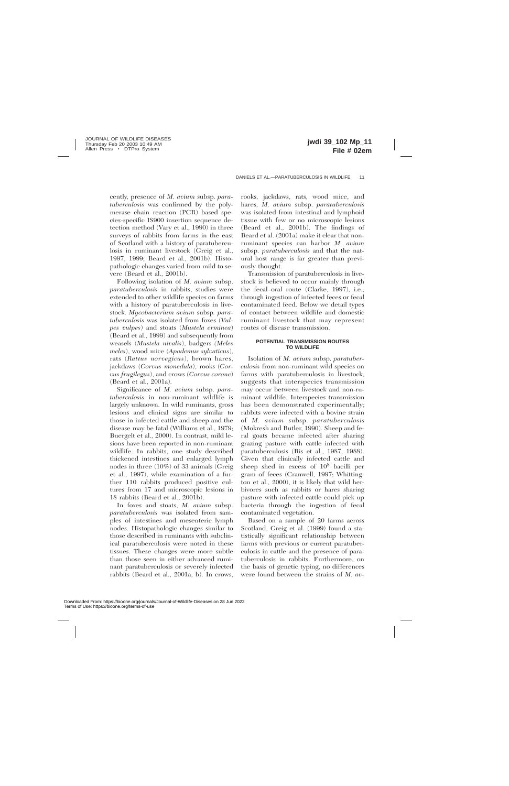cently, presence of *M. avium* subsp. *paratuberculosis* was confirmed by the polymerase chain reaction (PCR) based species-specific IS900 insertion sequence detection method (Vary et al., 1990) in three surveys of rabbits from farms in the east of Scotland with a history of paratuberculosis in ruminant livestock (Greig et al., 1997, 1999; Beard et al., 2001b). Histopathologic changes varied from mild to severe (Beard et al., 2001b).

Following isolation of *M. avium* subsp. *paratuberculosis* in rabbits, studies were extended to other wildlife species on farms with a history of paratuberculosis in livestock. *Mycobacterium avium* subsp*. paratuberculosis* was isolated from foxes (*Vulpes vulpes*) and stoats (*Mustela erminea*) (Beard et al., 1999) and subsequently from weasels (*Mustela nivalis*), badgers *(Meles meles*), wood mice (*Apodemus sylvaticus*), rats (*Rattus norvegicus*), brown hares, jackdaws (*Corvus monedula*), rooks (*Corvus frugilegus*), and crows (*Corvus corone*) (Beard et al., 2001a).

Significance of *M. avium* subsp. *paratuberculosis* in non-ruminant wildlife is largely unknown. In wild ruminants, gross lesions and clinical signs are similar to those in infected cattle and sheep and the disease may be fatal (Williams et al., 1979; Buergelt et al., 2000). In contrast, mild lesions have been reported in non-ruminant wildlife. In rabbits, one study described thickened intestines and enlarged lymph nodes in three (10%) of 33 animals (Greig et al., 1997), while examination of a further 110 rabbits produced positive cultures from 17 and microscopic lesions in 18 rabbits (Beard et al., 2001b).

In foxes and stoats, *M. avium* subsp. *paratuberculosis* was isolated from samples of intestines and mesenteric lymph nodes. Histopathologic changes similar to those described in ruminants with subclinical paratuberculosis were noted in these tissues. These changes were more subtle than those seen in either advanced ruminant paratuberculosis or severely infected rabbits (Beard et al., 2001a, b). In crows,

rooks, jackdaws, rats, wood mice, and hares, *M. avium* subsp. *paratuberculosis* was isolated from intestinal and lymphoid tissue with few or no microscopic lesions (Beard et al., 2001b). The findings of Beard et al. (2001a) make it clear that nonruminant species can harbor *M. avium* subsp. *paratuberculosis* and that the natural host range is far greater than previously thought.

Transmission of paratuberculosis in livestock is believed to occur mainly through the fecal–oral route (Clarke, 1997), i.e., through ingestion of infected feces or fecal contaminated feed. Below we detail types of contact between wildlife and domestic ruminant livestock that may represent routes of disease transmission.

#### **POTENTIAL TRANSMISSION ROUTES TO WILDLIFE**

Isolation of *M. avium* subsp. *paratuberculosis* from non-ruminant wild species on farms with paratuberculosis in livestock, suggests that interspecies transmission may occur between livestock and non-ruminant wildlife. Interspecies transmission has been demonstrated experimentally; rabbits were infected with a bovine strain of *M. avium* subsp. *paratuberculosis* (Mokresh and Butler, 1990). Sheep and feral goats became infected after sharing grazing pasture with cattle infected with paratuberculosis (Ris et al., 1987, 1988). Given that clinically infected cattle and sheep shed in excess of 108 bacilli per gram of feces (Cranwell, 1997; Whittington et al., 2000), it is likely that wild herbivores such as rabbits or hares sharing pasture with infected cattle could pick up bacteria through the ingestion of fecal contaminated vegetation.

Based on a sample of 20 farms across Scotland, Greig et al. (1999) found a statistically significant relationship between farms with previous or current paratuberculosis in cattle and the presence of paratuberculosis in rabbits. Furthermore, on the basis of genetic typing, no differences were found between the strains of *M. av-*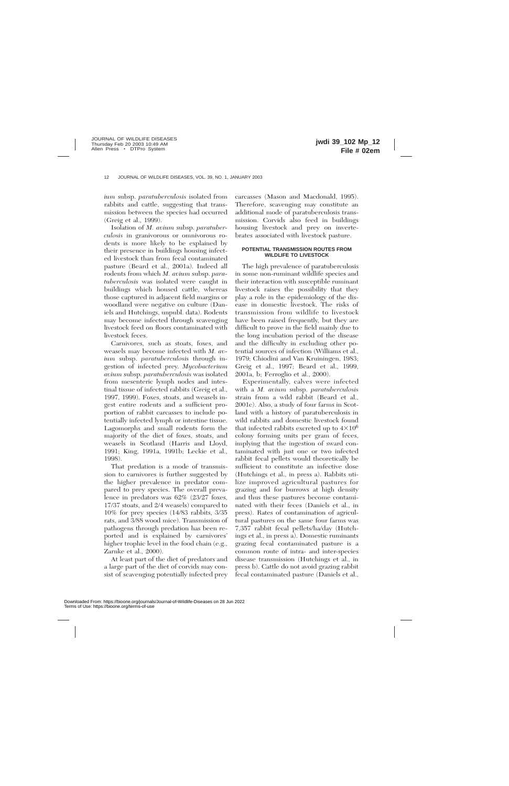*ium* subsp. *paratuberculosis* isolated from rabbits and cattle, suggesting that transmission between the species had occurred (Greig et al., 1999).

Isolation of *M. avium* subsp. *paratuberculosis* in granivorous or omnivorous rodents is more likely to be explained by their presence in buildings housing infected livestock than from fecal contaminated pasture (Beard et al., 2001a). Indeed all rodents from which *M. avium* subsp. *paratuberculosis* was isolated were caught in buildings which housed cattle, whereas those captured in adjacent field margins or woodland were negative on culture (Daniels and Hutchings, unpubl. data). Rodents may become infected through scavenging livestock feed on floors contaminated with livestock feces.

Carnivores, such as stoats, foxes, and weasels may become infected with *M. avium* subsp. *paratuberculosis* through ingestion of infected prey. *Mycobacterium avium* subsp. *paratuberculosis* was isolated from mesenteric lymph nodes and intestinal tissue of infected rabbits (Greig et al., 1997, 1999). Foxes, stoats, and weasels ingest entire rodents and a sufficient proportion of rabbit carcasses to include potentially infected lymph or intestine tissue. Lagomorphs and small rodents form the majority of the diet of foxes, stoats, and weasels in Scotland (Harris and Lloyd, 1991; King, 1991a, 1991b; Leckie et al., 1998).

That predation is a mode of transmission to carnivores is further suggested by the higher prevalence in predator compared to prey species. The overall prevalence in predators was 62% (23/27 foxes, 17/37 stoats, and 2/4 weasels) compared to 10% for prey species (14/83 rabbits, 3/35 rats, and 3/88 wood mice). Transmission of pathogens through predation has been reported and is explained by carnivores' higher trophic level in the food chain (e.g., Zarnke et al., 2000).

At least part of the diet of predators and a large part of the diet of corvids may consist of scavenging potentially infected prey carcasses (Mason and Macdonald, 1995). Therefore, scavenging may constitute an additional mode of paratuberculosis transmission. Corvids also feed in buildings housing livestock and prey on invertebrates associated with livestock pasture.

# **POTENTIAL TRANSMISSION ROUTES FROM WILDLIFE TO LIVESTOCK**

The high prevalence of paratuberculosis in some non-ruminant wildlife species and their interaction with susceptible ruminant livestock raises the possibility that they play a role in the epidemiology of the disease in domestic livestock. The risks of transmission from wildlife to livestock have been raised frequently, but they are difficult to prove in the field mainly due to the long incubation period of the disease and the difficulty in excluding other potential sources of infection (Williams et al., 1979; Chiodini and Van Kruiningen, 1983; Greig et al., 1997; Beard et al., 1999, 2001a, b; Ferroglio et al., 2000).

Experimentally, calves were infected with a *M. avium* subsp. *paratuberculosis* strain from a wild rabbit (Beard et al., 2001c). Also, a study of four farms in Scotland with a history of paratuberculosis in wild rabbits and domestic livestock found that infected rabbits excreted up to  $4\times10^6$ colony forming units per gram of feces, implying that the ingestion of sward contaminated with just one or two infected rabbit fecal pellets would theoretically be sufficient to constitute an infective dose (Hutchings et al., in press a). Rabbits utilize improved agricultural pastures for grazing and for burrows at high density and thus these pastures become contaminated with their feces (Daniels et al., in press). Rates of contamination of agricultural pastures on the same four farms was 7,357 rabbit fecal pellets/ha/day (Hutchings et al., in press a). Domestic ruminants grazing fecal contaminated pasture is a common route of intra- and inter-species disease transmission (Hutchings et al., in press b). Cattle do not avoid grazing rabbit fecal contaminated pasture (Daniels et al.,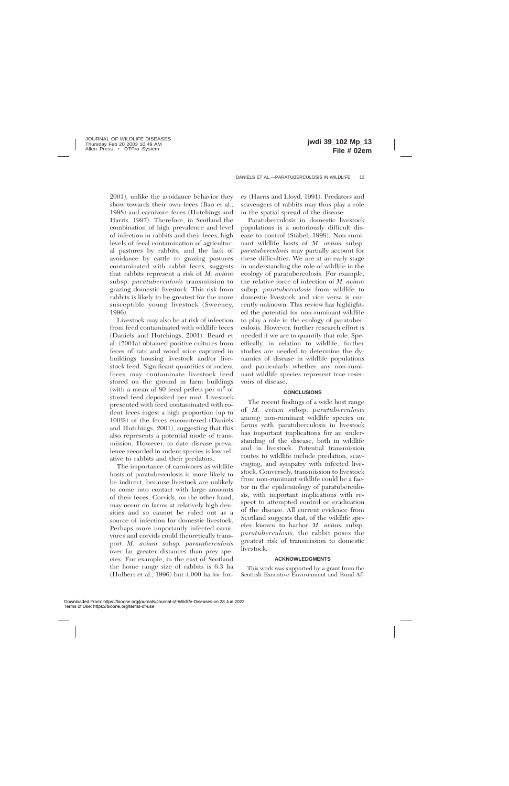2001), unlike the avoidance behavior they show towards their own feces (Bao et al., 1998) and carnivore feces (Hutchings and Harris, 1997). Therefore, in Scotland the combination of high prevalence and level of infection in rabbits and their feces, high levels of fecal contamination of agricultural pastures by rabbits, and the lack of avoidance by cattle to grazing pastures contaminated with rabbit feces, suggests that rabbits represent a risk of *M. avium* subsp. *paratuberculosis* transmission to grazing domestic livestock. This risk from rabbits is likely to be greatest for the more susceptible young livestock (Sweeney, 1996).

Livestock may also be at risk of infection from feed contaminated with wildlife feces (Daniels and Hutchings, 2001). Beard et al. (2001a) obtained positive cultures from feces of rats and wood mice captured in buildings housing livestock and/or livestock feed. Significant quantities of rodent feces may contaminate livestock feed stored on the ground in farm buildings (with a mean of 80 fecal pellets per  $m<sup>2</sup>$  of stored feed deposited per mo). Livestock presented with feed contaminated with rodent feces ingest a high proportion (up to 100%) of the feces encountered (Daniels and Hutchings, 2001), suggesting that this also represents a potential mode of transmission. However, to date disease prevalence recorded in rodent species is low relative to rabbits and their predators.

The importance of carnivores as wildlife hosts of paratuberculosis is more likely to be indirect, because livestock are unlikely to come into contact with large amounts of their feces. Corvids, on the other hand, may occur on farms at relatively high densities and so cannot be ruled out as a source of infection for domestic livestock. Perhaps more importantly infected carnivores and corvids could theoretically transport *M. avium* subsp. *paratuberculosis* over far greater distances than prey species. For example, in the east of Scotland the home range size of rabbits is 6.3 ha (Hulbert et al., 1996) but 4,000 ha for foxes (Harris and Lloyd, 1991). Predators and scavengers of rabbits may thus play a role in the spatial spread of the disease.

Paratuberculosis in domestic livestock populations is a notoriously difficult disease to control (Stabel, 1998). Non-ruminant wildlife hosts of *M. avium* subsp. *paratuberculosis* may partially account for these difficulties. We are at an early stage in understanding the role of wildlife in the ecology of paratuberculosis. For example, the relative force of infection of *M. avium* subsp. *paratuberculosis* from wildlife to domestic livestock and vice versa is currently unknown. This review has highlighted the potential for non-ruminant wildlife to play a role in the ecology of paratuberculosis. However, further research effort is needed if we are to quantify that role. Specifically, in relation to wildlife, further studies are needed to determine the dynamics of disease in wildlife populations and particularly whether any non-ruminant wildlife species represent true reservoirs of disease.

#### **CONCLUSIONS**

The recent findings of a wide host range of *M. avium* subsp. *paratuberculosis* among non-ruminant wildlife species on farms with paratuberculosis in livestock has important implications for an understanding of the disease, both in wildlife and in livestock. Potential transmission routes to wildlife include predation, scavenging, and sympatry with infected livestock. Conversely, transmission to livestock from non-ruminant wildlife could be a factor in the epidemiology of paratuberculosis, with important implications with respect to attempted control or eradication of the disease. All current evidence from Scotland suggests that, of the wildlife species known to harbor *M. avium* subsp. *paratuberculosis,* the rabbit poses the greatest risk of transmission to domestic livestock.

### **ACKNOWLEDGMENTS**

This work was supported by a grant from the Scottish Executive Environment and Rural Af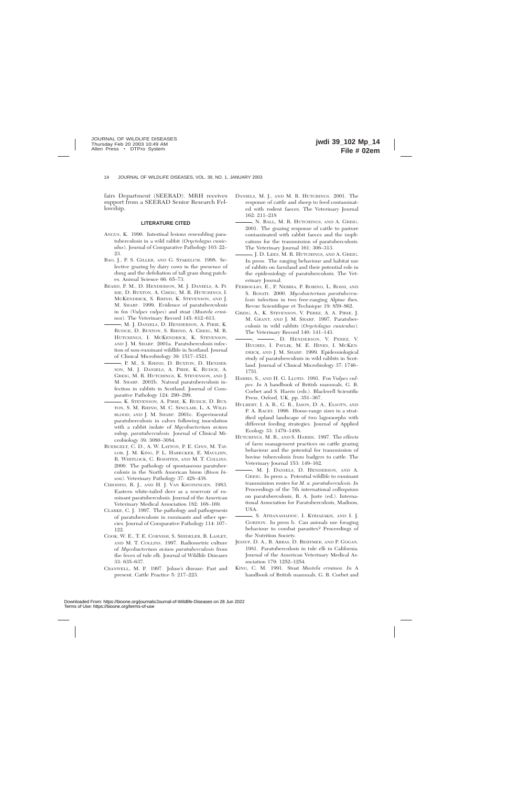fairs Department (SEERAD). MRH receives support from a SEERAD Senior Research Fellowship.

#### **LITERATURE CITED**

- ANGUS, K. 1990. Intestinal lesions resembling paratuberculosis in a wild rabbit (*Oryctolagus cuniculus*). Journal of Comparative Pathology 103: 22– 23.
- BAO, J., P. S. GILLER, AND G. STAKELUM. 1998. Selective grazing by dairy cows in the presence of dung and the defoliation of tall grass dung patches. Animal Science 66: 65–73.
- BEARD, P. M., D. HENDERSON, M. J. DANIELS, A. PI-RIE, D. BUXTON, A. GREIG, M. R. HUTCHINGS, I. MCKENDRICK, S. RHIND, K. STEVENSON, AND J. M. SHARP. 1999. Evidence of paratuberculosis in fox (*Vulpes vulpes*) and stoat (*Mustela erminea*). The Veterinary Record 145: 612–613.
- , M. J. DANIELS, D. HENDERSON, A. PIRIE, K. RUDGE, D. BUXTON, S. RHIND, A. GREIG, M. R. HUTCHINGS, I. MCKENDRICK, K. STEVENSON, AND J. M. SHARP. 2001a. Paratuberculosis infection of non-ruminant wildlife in Scotland. Journal of Clinical Microbiology 39: 1517–1521.
- , P. M., S. RHIND, D. BUXTON, D. HENDER-SON, M. J. DANIELS, A. PIRIE, K. RUDGE, A. GREIG, M. R. HUTCHINGS, K. STEVENSON, AND J. M. SHARP. 2001b. Natural paratuberculosis infection in rabbits in Scotland. Journal of Comparative Pathology 124: 290–299.
- , K. STEVENSON, A. PIRIE, K. RUDGE, D. BUX-TON, S. M. RHIND, M. C. SINCLAIR, L. A. WILD-BLOOD, AND J. M. SHARP. 2001c. Experimental paratuberculosis in calves following inoculation with a rabbit isolate of *Mycobacterium avium* subsp. *paratuberculosis.* Journal of Clinical Microbiology 39: 3080–3084.
- BUERGELT, C. D., A. W. LAYTON, P. E. GINN, M. TAY-LOR, J. M. KING, P. L. HABECKER, E. MAULDIN, R. WHITLOCK, C. ROSSITER, AND M. T. COLLINS. 2000. The pathology of spontaneous paratuberculosis in the North American bison (*Bison bison*). Veterinary Pathology 37: 428–438.
- CHIODINI, R. J., AND H. J. VAN KRUININGEN. 1983. Eastern white-tailed deer as a reservoir of ruminant paratuberculosis. Journal of the American Veterinary Medical Association 182: 168–169.
- CLARKE, C. J. 1997. The pathology and pathogenesis of paratuberculosis in ruminants and other species. Journal of Comparative Pathology 114: 107– 122.
- COOK, W. E., T. E. CORNISH, S. SHIDELER, B. LASLEY, AND M. T. COLLINS. 1997. Radiometric culture of *Mycobacterium avium paratuberculosis* from the feces of tule elk. Journal of Wildlife Diseases 33: 635–637.
- CRANWELL, M. P. 1997. Johne's disease: Past and present. Cattle Practice 5: 217–223.
- DANIELS, M. J., AND M. R. HUTCHINGS. 2001. The response of cattle and sheep to feed contaminated with rodent faeces. The Veterinary Journal 162: 211–218
- , N. BALL, M. R. HUTCHINGS, AND A. GREIG. 2001. The grazing response of cattle to pasture contaminated with rabbit faeces and the implications for the transmission of paratuberculosis. The Veterinary Journal 161: 306–313.
- , J. D. LEES, M. R. HUTCHINGS, AND A. GREIG. In press. The ranging behaviour and habitat use of rabbits on farmland and their potential role in the epidemiology of paratuberculosis. The Veterinary Journal.
- FERROGLIO, E., P. NEBBIA, P. ROBINO, L. ROSSI, AND S. ROSATI. 2000. *Mycobacterium paratuberculosis* infection in two free-ranging Alpine ibex. Revue Scientifique et Technique 19: 859–862.
- GREIG, A., K. STEVENSON, V. PEREZ, A. A. PIRIE, J. M. GRANT, AND J. M. SHARP. 1997. Paratuberculosis in wild rabbits (*Oryctolagus cuniculus*). The Veterinary Record 140: 141–143.
- $\rightarrow$ ,  $\rightarrow$  D. HENDERSON, V. PEREZ, V. HUGHES, I. PAVLIK, M. E. HINES, I. MCKEN-DRICK, AND J. M. SHARP. 1999. Epidemiological study of paratuberculosis in wild rabbits in Scotland. Journal of Clinical Microbiology 37: 1746– 1751.
- HARRIS, S., AND H. G. LLOYD. 1991. Fox *Vulpes vulpes. In* A handbook of British mammals, G. B. Corbet and S. Harris (eds.). Blackwell Scientific Press, Oxford, UK, pp. 351–367.
- HULBERT, I. A. R., G. R., IASON, D. A., ELSOTN, AND P. A. RACEY. 1996. Home-range sizes in a stratified upland landscape of two lagomorphs with different feeding strategies. Journal of Applied Ecology 33: 1479–1488.
- HUTCHINGS, M. R., AND S. HARRIS. 1997. The effects of farm management practices on cattle grazing behaviour and the potential for transmission of bovine tuberculosis from badgers to cattle. The Veterinary Journal 153: 149–162.
- , M. J. DANIELS, D. HENDERSON, AND A. GREIG. In press a. Potential wildlife to ruminant transmission routes for *M. a. paratuberculosis. In* Proceedings of the 7th international colloquium on paratuberculosis, R. A. Juste (ed.). International Association for Paratuberculosis, Madison, USA.
- , S. ATHANASIADOU, I. KYRIAZAKIS, AND I. J. GORDON. In press b. Can animals use foraging behaviour to combat parasites? Proceedings of the Nutrition Society.
- JESSUP, D. A., B. ABBAS, D. BEHYMER, AND P. GOGAN. 1981. Paratuberculosis in tule elk in California. Journal of the American Veterinary Medical Association 179: 1252–1254.
- KING, C. M. 1991. Stoat *Mustela erminea. In* A handbook of British mammals, G. B. Corbet and